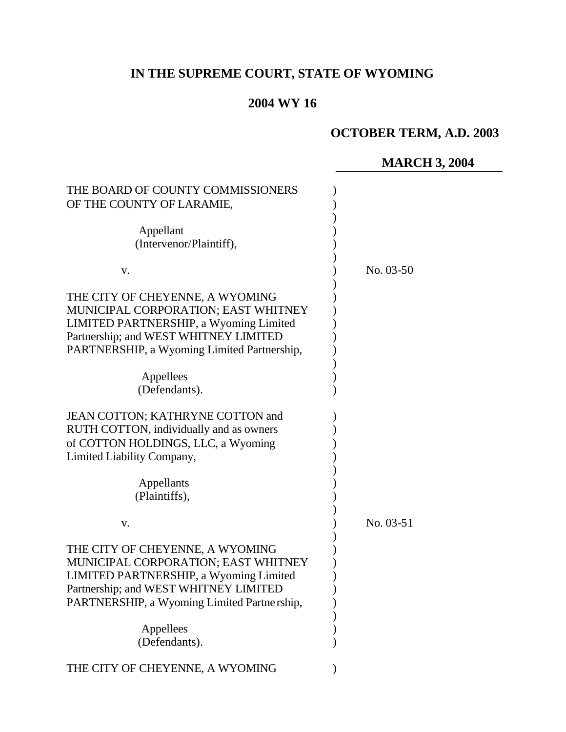# **IN THE SUPREME COURT, STATE OF WYOMING**

# **2004 WY 16**

# **OCTOBER TERM, A.D. 2003**

# **MARCH 3, 2004**

| THE BOARD OF COUNTY COMMISSIONERS<br>OF THE COUNTY OF LARAMIE,                                                                                                                                           |           |  |
|----------------------------------------------------------------------------------------------------------------------------------------------------------------------------------------------------------|-----------|--|
| Appellant<br>(Intervenor/Plaintiff),                                                                                                                                                                     |           |  |
| V.                                                                                                                                                                                                       | No. 03-50 |  |
| THE CITY OF CHEYENNE, A WYOMING<br>MUNICIPAL CORPORATION; EAST WHITNEY<br>LIMITED PARTNERSHIP, a Wyoming Limited<br>Partnership; and WEST WHITNEY LIMITED<br>PARTNERSHIP, a Wyoming Limited Partnership, |           |  |
| Appellees<br>(Defendants).                                                                                                                                                                               |           |  |
| JEAN COTTON; KATHRYNE COTTON and<br>RUTH COTTON, individually and as owners<br>of COTTON HOLDINGS, LLC, a Wyoming<br>Limited Liability Company,                                                          |           |  |
| Appellants<br>(Plaintiffs),                                                                                                                                                                              |           |  |
| V.                                                                                                                                                                                                       | No. 03-51 |  |
| THE CITY OF CHEYENNE, A WYOMING<br>MUNICIPAL CORPORATION; EAST WHITNEY<br>LIMITED PARTNERSHIP, a Wyoming Limited<br>Partnership; and WEST WHITNEY LIMITED<br>PARTNERSHIP, a Wyoming Limited Partnership, |           |  |
| Appellees<br>(Defendants).                                                                                                                                                                               |           |  |
| THE CITY OF CHEYENNE, A WYOMING                                                                                                                                                                          |           |  |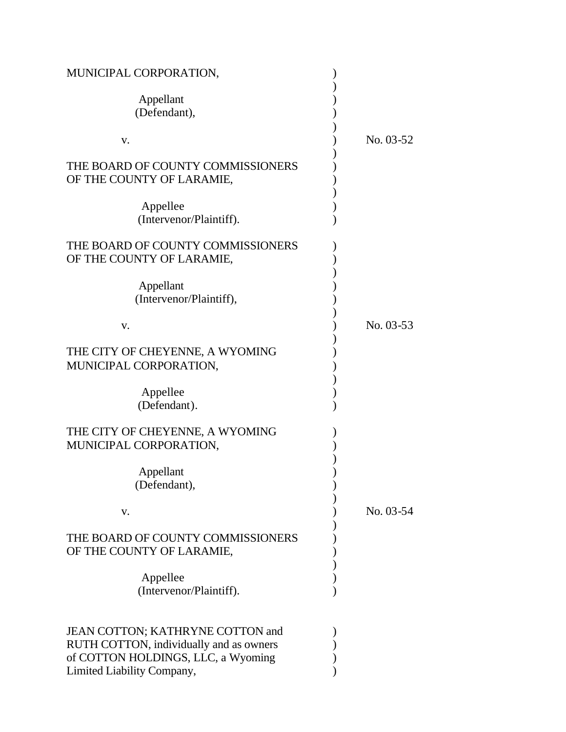| MUNICIPAL CORPORATION,                                                                                            |           |
|-------------------------------------------------------------------------------------------------------------------|-----------|
| Appellant<br>(Defendant),                                                                                         |           |
| V.                                                                                                                | No. 03-52 |
| THE BOARD OF COUNTY COMMISSIONERS<br>OF THE COUNTY OF LARAMIE,                                                    |           |
| Appellee<br>(Intervenor/Plaintiff).                                                                               |           |
| THE BOARD OF COUNTY COMMISSIONERS<br>OF THE COUNTY OF LARAMIE,                                                    |           |
| Appellant<br>(Intervenor/Plaintiff),                                                                              |           |
| V.                                                                                                                | No. 03-53 |
| THE CITY OF CHEYENNE, A WYOMING<br>MUNICIPAL CORPORATION,                                                         |           |
| Appellee<br>(Defendant).                                                                                          |           |
| THE CITY OF CHEYENNE, A WYOMING<br>MUNICIPAL CORPORATION,                                                         |           |
| Appellant<br>(Defendant),                                                                                         |           |
| V.                                                                                                                | No. 03-54 |
| THE BOARD OF COUNTY COMMISSIONERS<br>OF THE COUNTY OF LARAMIE,                                                    |           |
| Appellee<br>(Intervenor/Plaintiff).                                                                               |           |
| JEAN COTTON; KATHRYNE COTTON and<br>RUTH COTTON, individually and as owners<br>of COTTON HOLDINGS, LLC, a Wyoming |           |
| Limited Liability Company,                                                                                        |           |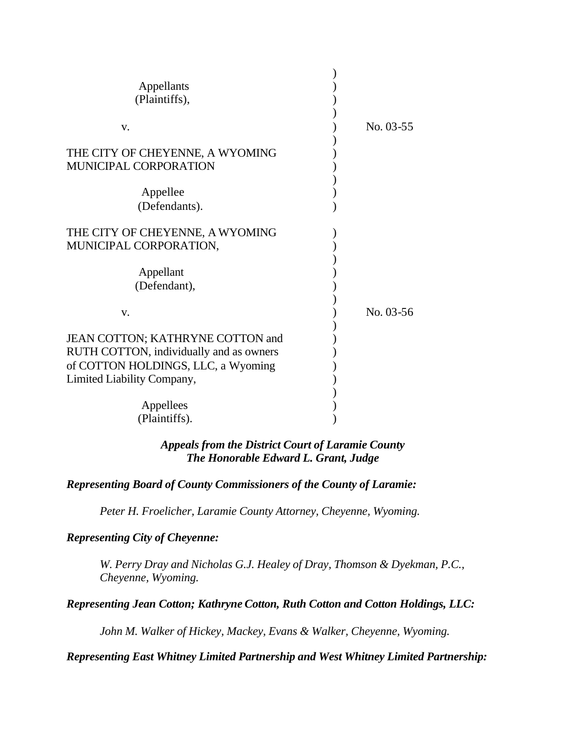| Appellants                              |           |
|-----------------------------------------|-----------|
| (Plaintiffs),                           |           |
| V.                                      | No. 03-55 |
|                                         |           |
| THE CITY OF CHEYENNE, A WYOMING         |           |
| MUNICIPAL CORPORATION                   |           |
|                                         |           |
| Appellee                                |           |
| (Defendants).                           |           |
|                                         |           |
| THE CITY OF CHEYENNE, A WYOMING         |           |
| MUNICIPAL CORPORATION,                  |           |
|                                         |           |
| Appellant                               |           |
| (Defendant),                            |           |
|                                         |           |
| $V_{\cdot}$                             | No. 03-56 |
|                                         |           |
| JEAN COTTON; KATHRYNE COTTON and        |           |
| RUTH COTTON, individually and as owners |           |
| of COTTON HOLDINGS, LLC, a Wyoming      |           |
| Limited Liability Company,              |           |
|                                         |           |
| Appellees                               |           |
| (Plaintiffs).                           |           |

## *Appeals from the District Court of Laramie County The Honorable Edward L. Grant, Judge*

# *Representing Board of County Commissioners of the County of Laramie:*

*Peter H. Froelicher, Laramie County Attorney, Cheyenne, Wyoming.*

## *Representing City of Cheyenne:*

*W. Perry Dray and Nicholas G.J. Healey of Dray, Thomson & Dyekman, P.C., Cheyenne, Wyoming.*

*Representing Jean Cotton; Kathryne Cotton, Ruth Cotton and Cotton Holdings, LLC:*

*John M. Walker of Hickey, Mackey, Evans & Walker, Cheyenne, Wyoming.*

#### *Representing East Whitney Limited Partnership and West Whitney Limited Partnership:*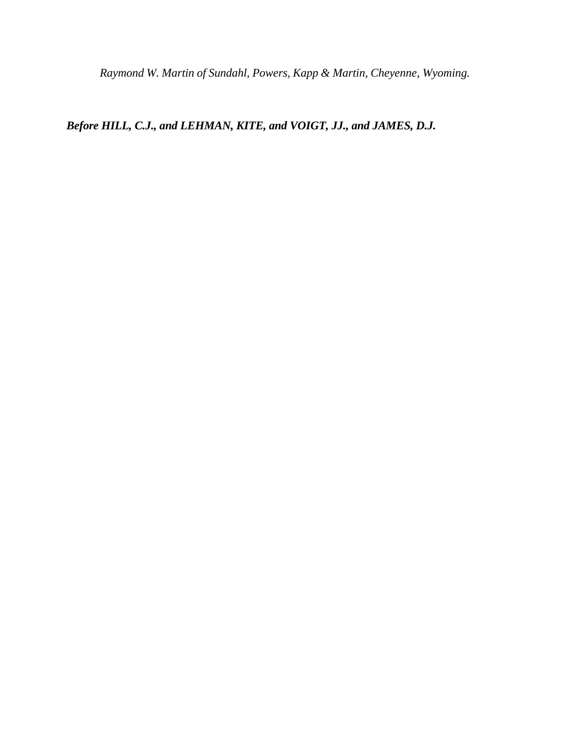*Raymond W. Martin of Sundahl, Powers, Kapp & Martin, Cheyenne, Wyoming.*

*Before HILL, C.J., and LEHMAN, KITE, and VOIGT, JJ., and JAMES, D.J.*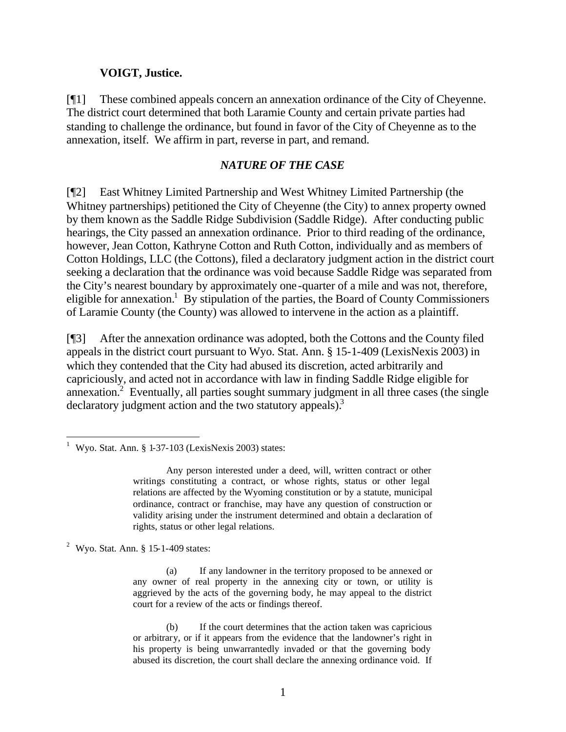#### **VOIGT, Justice.**

[¶1] These combined appeals concern an annexation ordinance of the City of Cheyenne. The district court determined that both Laramie County and certain private parties had standing to challenge the ordinance, but found in favor of the City of Cheyenne as to the annexation, itself. We affirm in part, reverse in part, and remand.

### *NATURE OF THE CASE*

[¶2] East Whitney Limited Partnership and West Whitney Limited Partnership (the Whitney partnerships) petitioned the City of Cheyenne (the City) to annex property owned by them known as the Saddle Ridge Subdivision (Saddle Ridge). After conducting public hearings, the City passed an annexation ordinance. Prior to third reading of the ordinance, however, Jean Cotton, Kathryne Cotton and Ruth Cotton, individually and as members of Cotton Holdings, LLC (the Cottons), filed a declaratory judgment action in the district court seeking a declaration that the ordinance was void because Saddle Ridge was separated from the City's nearest boundary by approximately one-quarter of a mile and was not, therefore, eligible for annexation.<sup>1</sup> By stipulation of the parties, the Board of County Commissioners of Laramie County (the County) was allowed to intervene in the action as a plaintiff.

[¶3] After the annexation ordinance was adopted, both the Cottons and the County filed appeals in the district court pursuant to Wyo. Stat. Ann. § 15-1-409 (LexisNexis 2003) in which they contended that the City had abused its discretion, acted arbitrarily and capriciously, and acted not in accordance with law in finding Saddle Ridge eligible for annexation.<sup>2</sup> Eventually, all parties sought summary judgment in all three cases (the single declaratory judgment action and the two statutory appeals).<sup>3</sup>

<sup>2</sup> Wyo. Stat. Ann.  $\S$  15-1-409 states:

l

(a) If any landowner in the territory proposed to be annexed or any owner of real property in the annexing city or town, or utility is aggrieved by the acts of the governing body, he may appeal to the district court for a review of the acts or findings thereof.

(b) If the court determines that the action taken was capricious or arbitrary, or if it appears from the evidence that the landowner's right in his property is being unwarrantedly invaded or that the governing body abused its discretion, the court shall declare the annexing ordinance void. If

<sup>&</sup>lt;sup>1</sup> Wyo. Stat. Ann. § 1-37-103 (LexisNexis 2003) states:

Any person interested under a deed, will, written contract or other writings constituting a contract, or whose rights, status or other legal relations are affected by the Wyoming constitution or by a statute, municipal ordinance, contract or franchise, may have any question of construction or validity arising under the instrument determined and obtain a declaration of rights, status or other legal relations.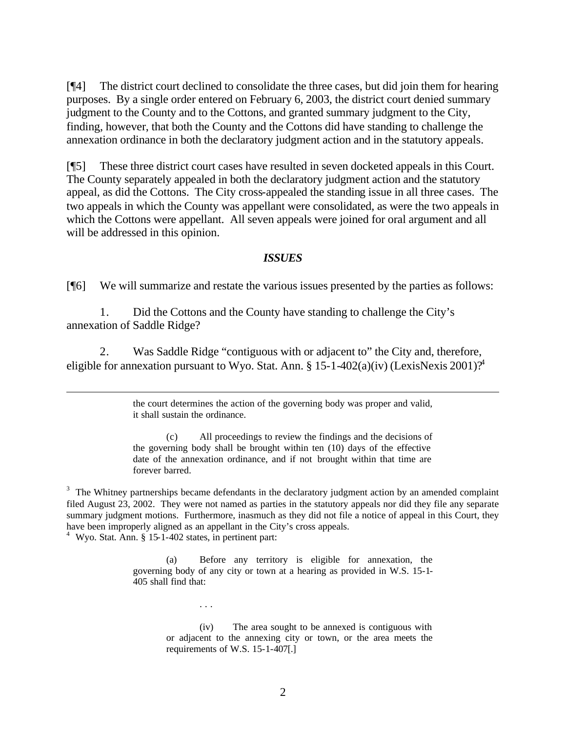[¶4] The district court declined to consolidate the three cases, but did join them for hearing purposes. By a single order entered on February 6, 2003, the district court denied summary judgment to the County and to the Cottons, and granted summary judgment to the City, finding, however, that both the County and the Cottons did have standing to challenge the annexation ordinance in both the declaratory judgment action and in the statutory appeals.

[¶5] These three district court cases have resulted in seven docketed appeals in this Court. The County separately appealed in both the declaratory judgment action and the statutory appeal, as did the Cottons. The City cross-appealed the standing issue in all three cases. The two appeals in which the County was appellant were consolidated, as were the two appeals in which the Cottons were appellant. All seven appeals were joined for oral argument and all will be addressed in this opinion.

#### *ISSUES*

[¶6] We will summarize and restate the various issues presented by the parties as follows:

1. Did the Cottons and the County have standing to challenge the City's annexation of Saddle Ridge?

2. Was Saddle Ridge "contiguous with or adjacent to" the City and, therefore, eligible for annexation pursuant to Wyo. Stat. Ann. § 15-1-402(a)(iv) (LexisNexis 2001)?<sup>4</sup>

> the court determines the action of the governing body was proper and valid, it shall sustain the ordinance.

> (c) All proceedings to review the findings and the decisions of the governing body shall be brought within ten (10) days of the effective date of the annexation ordinance, and if not brought within that time are forever barred.

 $3$  The Whitney partnerships became defendants in the declaratory judgment action by an amended complaint filed August 23, 2002. They were not named as parties in the statutory appeals nor did they file any separate summary judgment motions. Furthermore, inasmuch as they did not file a notice of appeal in this Court, they have been improperly aligned as an appellant in the City's cross appeals.

4 Wyo. Stat. Ann. § 15-1-402 states, in pertinent part:

. . .

l

(a) Before any territory is eligible for annexation, the governing body of any city or town at a hearing as provided in W.S. 15-1- 405 shall find that:

> (iv) The area sought to be annexed is contiguous with or adjacent to the annexing city or town, or the area meets the requirements of W.S. 15-1-407[.]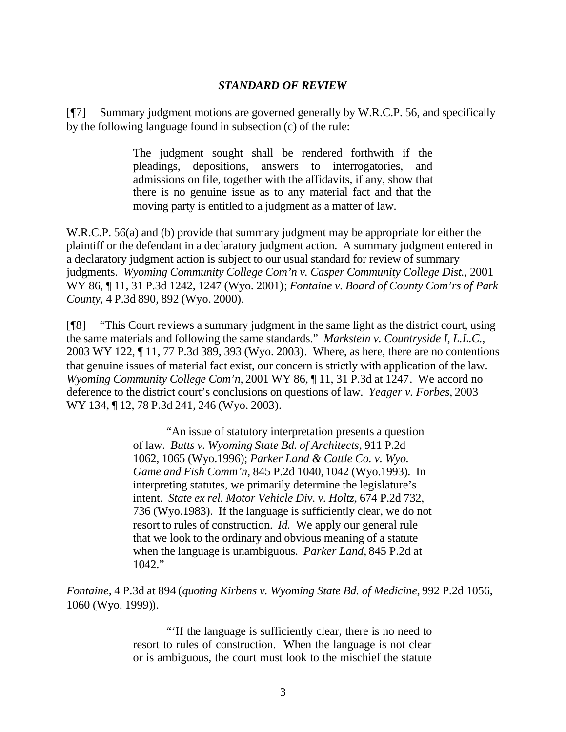### *STANDARD OF REVIEW*

[¶7] Summary judgment motions are governed generally by W.R.C.P. 56, and specifically by the following language found in subsection (c) of the rule:

> The judgment sought shall be rendered forthwith if the pleadings, depositions, answers to interrogatories, and admissions on file, together with the affidavits, if any, show that there is no genuine issue as to any material fact and that the moving party is entitled to a judgment as a matter of law.

W.R.C.P. 56(a) and (b) provide that summary judgment may be appropriate for either the plaintiff or the defendant in a declaratory judgment action. A summary judgment entered in a declaratory judgment action is subject to our usual standard for review of summary judgments. Wyoming Community College Com'n v. Casper Community College Dist., 2001 WY 86, ¶ 11, 31 P.3d 1242, 1247 (Wyo. 2001); *Fontaine v. Board of County Com'rs of Park County,* 4 P.3d 890, 892 (Wyo. 2000).

[¶8] "This Court reviews a summary judgment in the same light as the district court, using the same materials and following the same standards." *Markstein v. Countryside I, L.L.C.,*  2003 WY 122, ¶ 11, 77 P.3d 389, 393 (Wyo. 2003). Where, as here, there are no contentions that genuine issues of material fact exist, our concern is strictly with application of the law. *Wyoming Community College Com'n,* 2001 WY 86, ¶ 11, 31 P.3d at 1247. We accord no deference to the district court's conclusions on questions of law. *Yeager v. Forbes,* 2003 WY 134, ¶ 12, 78 P.3d 241, 246 (Wyo. 2003).

> "An issue of statutory interpretation presents a question of law. *Butts v. Wyoming State Bd. of Architects,* 911 P.2d 1062, 1065 (Wyo.1996); *Parker Land & Cattle Co. v. Wyo. Game and Fish Comm'n,* 845 P.2d 1040, 1042 (Wyo.1993). In interpreting statutes, we primarily determine the legislature's intent. *State ex rel. Motor Vehicle Div. v. Holtz,* 674 P.2d 732, 736 (Wyo.1983). If the language is sufficiently clear, we do not resort to rules of construction. *Id.* We apply our general rule that we look to the ordinary and obvious meaning of a statute when the language is unambiguous. *Parker Land,* 845 P.2d at 1042."

*Fontaine,* 4 P.3d at 894 (*quoting Kirbens v. Wyoming State Bd. of Medicine,* 992 P.2d 1056, 1060 (Wyo. 1999)).

> "'If the language is sufficiently clear, there is no need to resort to rules of construction. When the language is not clear or is ambiguous, the court must look to the mischief the statute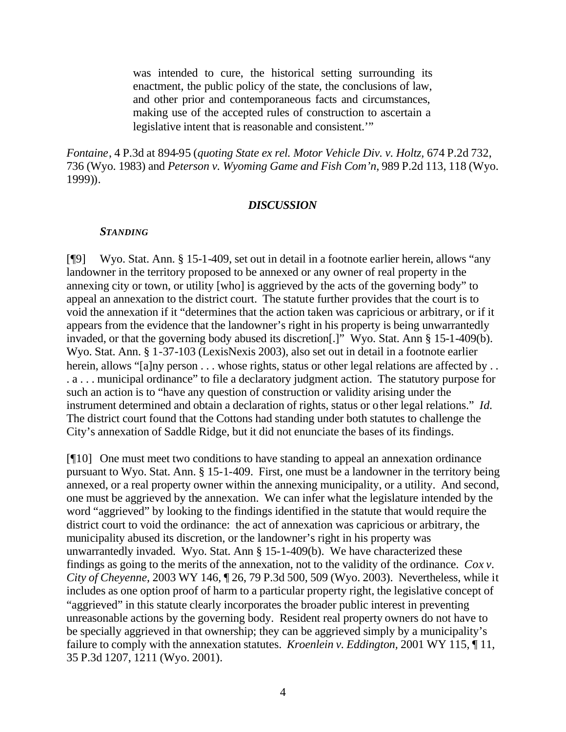was intended to cure, the historical setting surrounding its enactment, the public policy of the state, the conclusions of law, and other prior and contemporaneous facts and circumstances, making use of the accepted rules of construction to ascertain a legislative intent that is reasonable and consistent.'"

*Fontaine*, 4 P.3d at 894-95 (*quoting State ex rel. Motor Vehicle Div. v. Holtz,* 674 P.2d 732, 736 (Wyo. 1983) and *Peterson v. Wyoming Game and Fish Com'n*, 989 P.2d 113, 118 (Wyo. 1999)).

#### *DISCUSSION*

#### *STANDING*

[¶9] Wyo. Stat. Ann. § 15-1-409, set out in detail in a footnote earlier herein, allows "any landowner in the territory proposed to be annexed or any owner of real property in the annexing city or town, or utility [who] is aggrieved by the acts of the governing body" to appeal an annexation to the district court. The statute further provides that the court is to void the annexation if it "determines that the action taken was capricious or arbitrary, or if it appears from the evidence that the landowner's right in his property is being unwarrantedly invaded, or that the governing body abused its discretion[.]" Wyo. Stat. Ann § 15-1-409(b). Wyo. Stat. Ann. § 1-37-103 (LexisNexis 2003), also set out in detail in a footnote earlier herein, allows "[a]ny person . . . whose rights, status or other legal relations are affected by . . . a . . . municipal ordinance" to file a declaratory judgment action. The statutory purpose for such an action is to "have any question of construction or validity arising under the instrument determined and obtain a declaration of rights, status or other legal relations." *Id.* The district court found that the Cottons had standing under both statutes to challenge the City's annexation of Saddle Ridge, but it did not enunciate the bases of its findings.

[¶10] One must meet two conditions to have standing to appeal an annexation ordinance pursuant to Wyo. Stat. Ann. § 15-1-409. First, one must be a landowner in the territory being annexed, or a real property owner within the annexing municipality, or a utility. And second, one must be aggrieved by the annexation. We can infer what the legislature intended by the word "aggrieved" by looking to the findings identified in the statute that would require the district court to void the ordinance: the act of annexation was capricious or arbitrary, the municipality abused its discretion, or the landowner's right in his property was unwarrantedly invaded. Wyo. Stat. Ann § 15-1-409(b). We have characterized these findings as going to the merits of the annexation, not to the validity of the ordinance. *Cox v. City of Cheyenne,* 2003 WY 146, ¶ 26, 79 P.3d 500, 509 (Wyo. 2003). Nevertheless, while it includes as one option proof of harm to a particular property right, the legislative concept of "aggrieved" in this statute clearly incorporates the broader public interest in preventing unreasonable actions by the governing body. Resident real property owners do not have to be specially aggrieved in that ownership; they can be aggrieved simply by a municipality's failure to comply with the annexation statutes. *Kroenlein v. Eddington,* 2001 WY 115, ¶ 11, 35 P.3d 1207, 1211 (Wyo. 2001).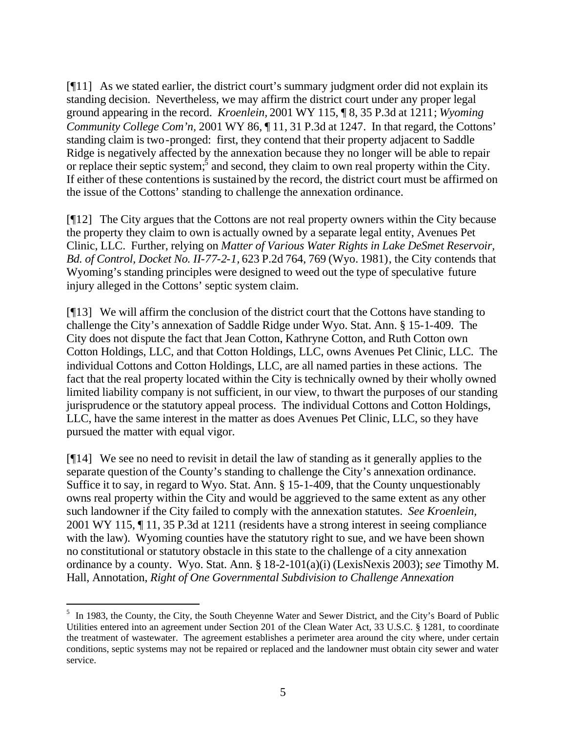[¶11] As we stated earlier, the district court's summary judgment order did not explain its standing decision. Nevertheless, we may affirm the district court under any proper legal ground appearing in the record. *Kroenlein,* 2001 WY 115, ¶ 8, 35 P.3d at 1211; *Wyoming Community College Com'n,* 2001 WY 86,  $\P$  11, 31 P.3d at 1247. In that regard, the Cottons' standing claim is two-pronged: first, they contend that their property adjacent to Saddle Ridge is negatively affected by the annexation because they no longer will be able to repair or replace their septic system; and second, they claim to own real property within the City. If either of these contentions is sustained by the record, the district court must be affirmed on the issue of the Cottons' standing to challenge the annexation ordinance.

[¶12] The City argues that the Cottons are not real property owners within the City because the property they claim to own is actually owned by a separate legal entity, Avenues Pet Clinic, LLC. Further, relying on *Matter of Various Water Rights in Lake DeSmet Reservoir, Bd. of Control, Docket No. II-77-2-1,* 623 P.2d 764, 769 (Wyo. 1981), the City contends that Wyoming's standing principles were designed to weed out the type of speculative future injury alleged in the Cottons' septic system claim.

[¶13] We will affirm the conclusion of the district court that the Cottons have standing to challenge the City's annexation of Saddle Ridge under Wyo. Stat. Ann. § 15-1-409. The City does not dispute the fact that Jean Cotton, Kathryne Cotton, and Ruth Cotton own Cotton Holdings, LLC, and that Cotton Holdings, LLC, owns Avenues Pet Clinic, LLC. The individual Cottons and Cotton Holdings, LLC, are all named parties in these actions. The fact that the real property located within the City is technically owned by their wholly owned limited liability company is not sufficient, in our view, to thwart the purposes of our standing jurisprudence or the statutory appeal process. The individual Cottons and Cotton Holdings, LLC, have the same interest in the matter as does Avenues Pet Clinic, LLC, so they have pursued the matter with equal vigor.

[¶14] We see no need to revisit in detail the law of standing as it generally applies to the separate question of the County's standing to challenge the City's annexation ordinance. Suffice it to say, in regard to Wyo. Stat. Ann. § 15-1-409, that the County unquestionably owns real property within the City and would be aggrieved to the same extent as any other such landowner if the City failed to comply with the annexation statutes. *See Kroenlein,*  2001 WY 115, ¶ 11, 35 P.3d at 1211 (residents have a strong interest in seeing compliance with the law). Wyoming counties have the statutory right to sue, and we have been shown no constitutional or statutory obstacle in this state to the challenge of a city annexation ordinance by a county. Wyo. Stat. Ann. § 18-2-101(a)(i) (LexisNexis 2003); *see* Timothy M. Hall, Annotation, *Right of One Governmental Subdivision to Challenge Annexation* 

l

<sup>&</sup>lt;sup>5</sup> In 1983, the County, the City, the South Cheyenne Water and Sewer District, and the City's Board of Public Utilities entered into an agreement under Section 201 of the Clean Water Act, 33 U.S.C. § 1281, to coordinate the treatment of wastewater. The agreement establishes a perimeter area around the city where, under certain conditions, septic systems may not be repaired or replaced and the landowner must obtain city sewer and water service.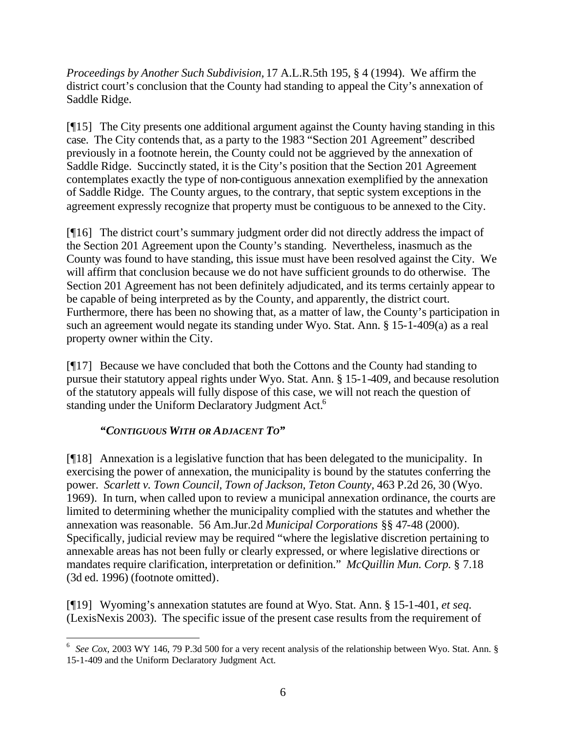*Proceedings by Another Such Subdivision,* 17 A.L.R.5th 195, § 4 (1994). We affirm the district court's conclusion that the County had standing to appeal the City's annexation of Saddle Ridge.

[¶15] The City presents one additional argument against the County having standing in this case. The City contends that, as a party to the 1983 "Section 201 Agreement" described previously in a footnote herein, the County could not be aggrieved by the annexation of Saddle Ridge. Succinctly stated, it is the City's position that the Section 201 Agreement contemplates exactly the type of non-contiguous annexation exemplified by the annexation of Saddle Ridge. The County argues, to the contrary, that septic system exceptions in the agreement expressly recognize that property must be contiguous to be annexed to the City.

[¶16] The district court's summary judgment order did not directly address the impact of the Section 201 Agreement upon the County's standing. Nevertheless, inasmuch as the County was found to have standing, this issue must have been resolved against the City. We will affirm that conclusion because we do not have sufficient grounds to do otherwise. The Section 201 Agreement has not been definitely adjudicated, and its terms certainly appear to be capable of being interpreted as by the County, and apparently, the district court. Furthermore, there has been no showing that, as a matter of law, the County's participation in such an agreement would negate its standing under Wyo. Stat. Ann. § 15-1-409(a) as a real property owner within the City.

[¶17] Because we have concluded that both the Cottons and the County had standing to pursue their statutory appeal rights under Wyo. Stat. Ann. § 15-1-409, and because resolution of the statutory appeals will fully dispose of this case, we will not reach the question of standing under the Uniform Declaratory Judgment Act.<sup>6</sup>

# *"CONTIGUOUS WITH OR ADJACENT TO"*

[¶18] Annexation is a legislative function that has been delegated to the municipality. In exercising the power of annexation, the municipality is bound by the statutes conferring the power. *Scarlett v. Town Council, Town of Jackson, Teton County, 463 P.2d 26, 30 (Wyo.* 1969). In turn, when called upon to review a municipal annexation ordinance, the courts are limited to determining whether the municipality complied with the statutes and whether the annexation was reasonable. 56 Am.Jur.2d *Municipal Corporations* §§ 47-48 (2000). Specifically, judicial review may be required "where the legislative discretion pertaining to annexable areas has not been fully or clearly expressed, or where legislative directions or mandates require clarification, interpretation or definition." *McQuillin Mun. Corp.* § 7.18 (3d ed. 1996) (footnote omitted).

[¶19] Wyoming's annexation statutes are found at Wyo. Stat. Ann. § 15-1-401, *et seq.* (LexisNexis 2003). The specific issue of the present case results from the requirement of

l <sup>6</sup> *See Cox*, 2003 WY 146, 79 P.3d 500 for a very recent analysis of the relationship between Wyo. Stat. Ann. § 15-1-409 and the Uniform Declaratory Judgment Act.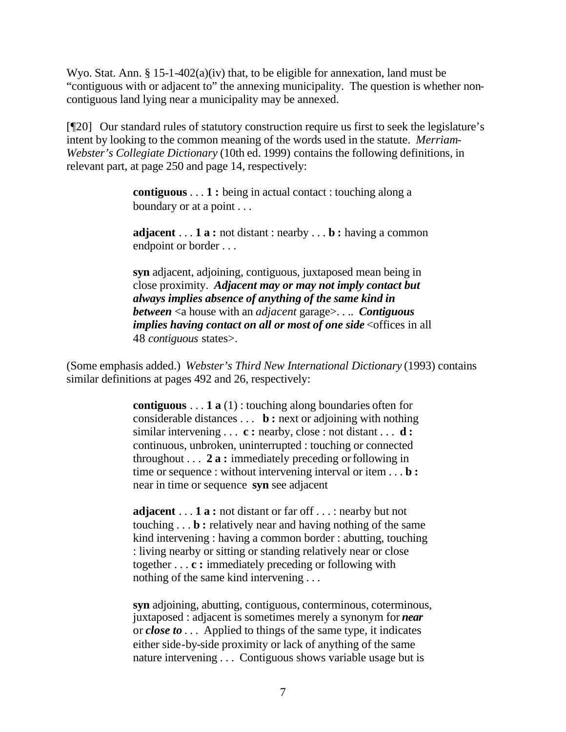Wyo. Stat. Ann. § 15-1-402(a)(iv) that, to be eligible for annexation, land must be "contiguous with or adjacent to" the annexing municipality. The question is whether noncontiguous land lying near a municipality may be annexed.

[¶20] Our standard rules of statutory construction require us first to seek the legislature's intent by looking to the common meaning of the words used in the statute. *Merriam-Webster's Collegiate Dictionary* (10th ed. 1999) contains the following definitions, in relevant part, at page 250 and page 14, respectively:

> **contiguous** . . . **1 :** being in actual contact : touching along a boundary or at a point . . .

**adjacent** . . . **1 a :** not distant : nearby . . . **b :** having a common endpoint or border . . .

**syn** adjacent, adjoining, contiguous, juxtaposed mean being in close proximity. *Adjacent may or may not imply contact but always implies absence of anything of the same kind in between* <a house with an *adjacent* garage>. . .. *Contiguous implies having contact on all or most of one side* <offices in all 48 *contiguous* states>.

(Some emphasis added.) *Webster's Third New International Dictionary* (1993) contains similar definitions at pages 492 and 26, respectively:

> **contiguous** . . . **1 a** (1) : touching along boundaries often for considerable distances . . . **b :** next or adjoining with nothing similar intervening . . . **c :** nearby, close : not distant . . . **d :** continuous, unbroken, uninterrupted : touching or connected throughout . . . **2 a :** immediately preceding or following in time or sequence : without intervening interval or item . . . **b :** near in time or sequence **syn** see adjacent

**adjacent** . . . **1 a :** not distant or far off . . . : nearby but not touching . . . **b :** relatively near and having nothing of the same kind intervening : having a common border : abutting, touching : living nearby or sitting or standing relatively near or close together . . . **c :** immediately preceding or following with nothing of the same kind intervening . . .

**syn** adjoining, abutting, contiguous, conterminous, coterminous, juxtaposed : adjacent is sometimes merely a synonym for *near* or *close to* . . . Applied to things of the same type, it indicates either side-by-side proximity or lack of anything of the same nature intervening . . . Contiguous shows variable usage but is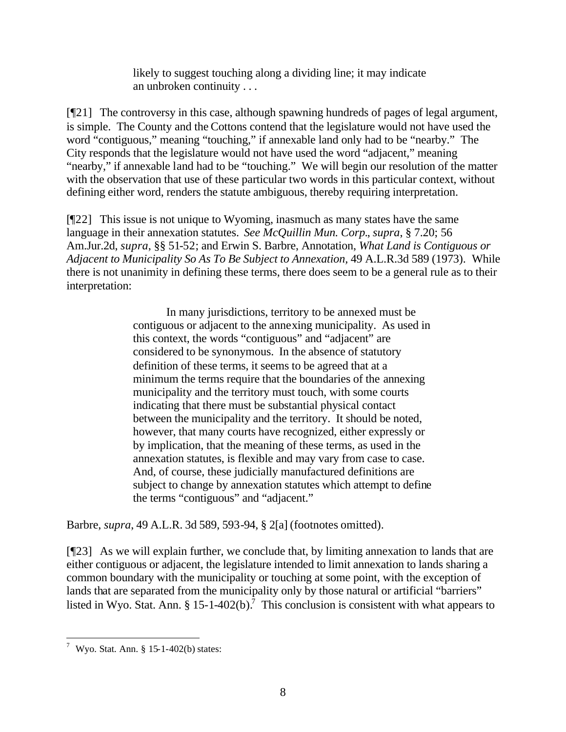likely to suggest touching along a dividing line; it may indicate an unbroken continuity . . .

[¶21] The controversy in this case, although spawning hundreds of pages of legal argument, is simple. The County and the Cottons contend that the legislature would not have used the word "contiguous," meaning "touching," if annexable land only had to be "nearby." The City responds that the legislature would not have used the word "adjacent," meaning "nearby," if annexable land had to be "touching." We will begin our resolution of the matter with the observation that use of these particular two words in this particular context, without defining either word, renders the statute ambiguous, thereby requiring interpretation.

[¶22] This issue is not unique to Wyoming, inasmuch as many states have the same language in their annexation statutes. *See McQuillin Mun. Corp.*, *supra*, § 7.20; 56 Am.Jur.2d, *supra*, §§ 51-52; and Erwin S. Barbre, Annotation, *What Land is Contiguous or Adjacent to Municipality So As To Be Subject to Annexation,* 49 A.L.R.3d 589 (1973). While there is not unanimity in defining these terms, there does seem to be a general rule as to their interpretation:

> In many jurisdictions, territory to be annexed must be contiguous or adjacent to the annexing municipality. As used in this context, the words "contiguous" and "adjacent" are considered to be synonymous. In the absence of statutory definition of these terms, it seems to be agreed that at a minimum the terms require that the boundaries of the annexing municipality and the territory must touch, with some courts indicating that there must be substantial physical contact between the municipality and the territory. It should be noted, however, that many courts have recognized, either expressly or by implication, that the meaning of these terms, as used in the annexation statutes, is flexible and may vary from case to case. And, of course, these judicially manufactured definitions are subject to change by annexation statutes which attempt to define the terms "contiguous" and "adjacent."

Barbre, *supra*, 49 A.L.R. 3d 589, 593-94, § 2[a] (footnotes omitted).

[¶23] As we will explain further, we conclude that, by limiting annexation to lands that are either contiguous or adjacent, the legislature intended to limit annexation to lands sharing a common boundary with the municipality or touching at some point, with the exception of lands that are separated from the municipality only by those natural or artificial "barriers" listed in Wyo. Stat. Ann. § 15-1-402(b).<sup>7</sup> This conclusion is consistent with what appears to

 7 Wyo. Stat. Ann. § 15-1-402(b) states: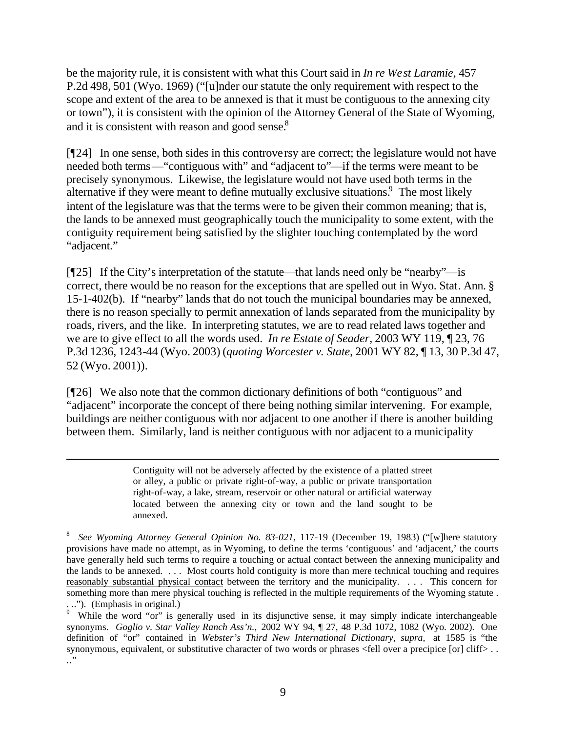be the majority rule, it is consistent with what this Court said in *In re West Laramie,* 457 P.2d 498, 501 (Wyo. 1969) ("[u]nder our statute the only requirement with respect to the scope and extent of the area to be annexed is that it must be contiguous to the annexing city or town"), it is consistent with the opinion of the Attorney General of the State of Wyoming, and it is consistent with reason and good sense.<sup>8</sup>

[¶24] In one sense, both sides in this controversy are correct; the legislature would not have needed both terms—"contiguous with" and "adjacent to"—if the terms were meant to be precisely synonymous. Likewise, the legislature would not have used both terms in the alternative if they were meant to define mutually exclusive situations.<sup>9</sup> The most likely intent of the legislature was that the terms were to be given their common meaning; that is, the lands to be annexed must geographically touch the municipality to some extent, with the contiguity requirement being satisfied by the slighter touching contemplated by the word "adjacent."

[¶25] If the City's interpretation of the statute—that lands need only be "nearby"—is correct, there would be no reason for the exceptions that are spelled out in Wyo. Stat. Ann. § 15-1-402(b). If "nearby" lands that do not touch the municipal boundaries may be annexed, there is no reason specially to permit annexation of lands separated from the municipality by roads, rivers, and the like. In interpreting statutes, we are to read related laws together and we are to give effect to all the words used. *In re Estate of Seader,* 2003 WY 119, ¶ 23, 76 P.3d 1236, 1243-44 (Wyo. 2003) (*quoting Worcester v. State*, 2001 WY 82, ¶ 13, 30 P.3d 47, 52 (Wyo. 2001)).

[¶26] We also note that the common dictionary definitions of both "contiguous" and "adjacent" incorporate the concept of there being nothing similar intervening. For example, buildings are neither contiguous with nor adjacent to one another if there is another building between them. Similarly, land is neither contiguous with nor adjacent to a municipality

l

Contiguity will not be adversely affected by the existence of a platted street or alley, a public or private right-of-way, a public or private transportation right-of-way, a lake, stream, reservoir or other natural or artificial waterway located between the annexing city or town and the land sought to be annexed.

<sup>8</sup> *See Wyoming Attorney General Opinion No. 83-021,* 117-19 (December 19, 1983) ("[w]here statutory provisions have made no attempt, as in Wyoming, to define the terms 'contiguous' and 'adjacent,' the courts have generally held such terms to require a touching or actual contact between the annexing municipality and the lands to be annexed. . . . Most courts hold contiguity is more than mere technical touching and requires reasonably substantial physical contact between the territory and the municipality. . . . This concern for something more than mere physical touching is reflected in the multiple requirements of the Wyoming statute . ..."). (Emphasis in original.)

While the word "or" is generally used in its disjunctive sense, it may simply indicate interchangeable synonyms. *Goglio v. Star Valley Ranch Ass'n.,* 2002 WY 94, ¶ 27, 48 P.3d 1072, 1082 (Wyo. 2002). One definition of "or" contained in *Webster's Third New International Dictionary, supra,* at 1585 is "the synonymous, equivalent, or substitutive character of two words or phrases <fell over a precipice [or] cliff> ... .."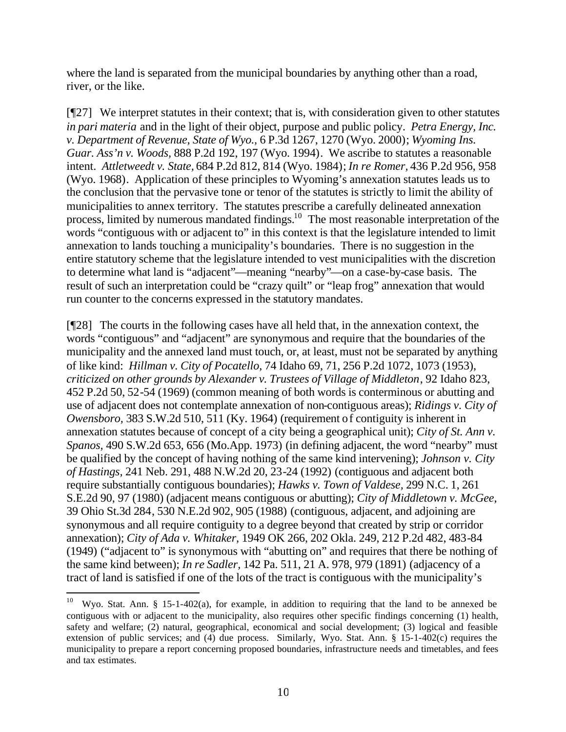where the land is separated from the municipal boundaries by anything other than a road, river, or the like.

[¶27] We interpret statutes in their context; that is, with consideration given to other statutes *in pari materia* and in the light of their object, purpose and public policy. *Petra Energy, Inc. v. Department of Revenue, State of Wyo.,* 6 P.3d 1267, 1270 (Wyo. 2000); *Wyoming Ins. Guar. Ass'n v. Woods,* 888 P.2d 192, 197 (Wyo. 1994). We ascribe to statutes a reasonable intent. *Attletweedt v. State,* 684 P.2d 812, 814 (Wyo. 1984); *In re Romer,* 436 P.2d 956, 958 (Wyo. 1968). Application of these principles to Wyoming's annexation statutes leads us to the conclusion that the pervasive tone or tenor of the statutes is strictly to limit the ability of municipalities to annex territory. The statutes prescribe a carefully delineated annexation process, limited by numerous mandated findings.<sup>10</sup> The most reasonable interpretation of the words "contiguous with or adjacent to" in this context is that the legislature intended to limit annexation to lands touching a municipality's boundaries. There is no suggestion in the entire statutory scheme that the legislature intended to vest municipalities with the discretion to determine what land is "adjacent"—meaning "nearby"—on a case-by-case basis. The result of such an interpretation could be "crazy quilt" or "leap frog" annexation that would run counter to the concerns expressed in the statutory mandates.

[¶28] The courts in the following cases have all held that, in the annexation context, the words "contiguous" and "adjacent" are synonymous and require that the boundaries of the municipality and the annexed land must touch, or, at least, must not be separated by anything of like kind: *Hillman v. City of Pocatello,* 74 Idaho 69, 71, 256 P.2d 1072, 1073 (1953), *criticized on other grounds by Alexander v. Trustees of Village of Middleton*, 92 Idaho 823, 452 P.2d 50, 52-54 (1969) (common meaning of both words is conterminous or abutting and use of adjacent does not contemplate annexation of non-contiguous areas); *Ridings v. City of Owensboro,* 383 S.W.2d 510, 511 (Ky. 1964) (requirement of contiguity is inherent in annexation statutes because of concept of a city being a geographical unit); *City of St. Ann v. Spanos,* 490 S.W.2d 653, 656 (Mo.App. 1973) (in defining adjacent, the word "nearby" must be qualified by the concept of having nothing of the same kind intervening); *Johnson v. City of Hastings,* 241 Neb. 291, 488 N.W.2d 20, 23-24 (1992) (contiguous and adjacent both require substantially contiguous boundaries); *Hawks v. Town of Valdese,* 299 N.C. 1, 261 S.E.2d 90, 97 (1980) (adjacent means contiguous or abutting); *City of Middletown v. McGee,*  39 Ohio St.3d 284, 530 N.E.2d 902, 905 (1988) (contiguous, adjacent, and adjoining are synonymous and all require contiguity to a degree beyond that created by strip or corridor annexation); *City of Ada v. Whitaker,* 1949 OK 266, 202 Okla. 249, 212 P.2d 482, 483-84 (1949) ("adjacent to" is synonymous with "abutting on" and requires that there be nothing of the same kind between); *In re Sadler,* 142 Pa. 511, 21 A. 978, 979 (1891) (adjacency of a tract of land is satisfied if one of the lots of the tract is contiguous with the municipality's

l

Wyo. Stat. Ann. § 15-1-402(a), for example, in addition to requiring that the land to be annexed be contiguous with or adjacent to the municipality, also requires other specific findings concerning (1) health, safety and welfare; (2) natural, geographical, economical and social development; (3) logical and feasible extension of public services; and (4) due process. Similarly, Wyo. Stat. Ann. § 15-1-402(c) requires the municipality to prepare a report concerning proposed boundaries, infrastructure needs and timetables, and fees and tax estimates.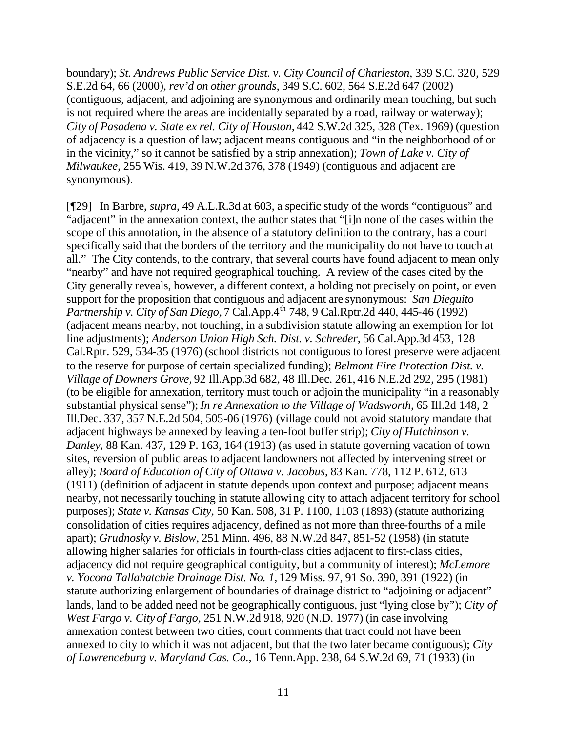boundary); *St. Andrews Public Service Dist. v. City Council of Charleston,* 339 S.C. 320, 529 S.E.2d 64, 66 (2000), *rev'd on other grounds*, 349 S.C. 602, 564 S.E.2d 647 (2002) (contiguous, adjacent, and adjoining are synonymous and ordinarily mean touching, but such is not required where the areas are incidentally separated by a road, railway or waterway); *City of Pasadena v. State ex rel. City of Houston,* 442 S.W.2d 325, 328 (Tex. 1969) (question of adjacency is a question of law; adjacent means contiguous and "in the neighborhood of or in the vicinity," so it cannot be satisfied by a strip annexation); *Town of Lake v. City of Milwaukee,* 255 Wis. 419, 39 N.W.2d 376, 378 (1949) (contiguous and adjacent are synonymous).

[¶29] In Barbre, *supra*, 49 A.L.R.3d at 603, a specific study of the words "contiguous" and "adjacent" in the annexation context, the author states that "[i]n none of the cases within the scope of this annotation, in the absence of a statutory definition to the contrary, has a court specifically said that the borders of the territory and the municipality do not have to touch at all." The City contends, to the contrary, that several courts have found adjacent to mean only "nearby" and have not required geographical touching. A review of the cases cited by the City generally reveals, however, a different context, a holding not precisely on point, or even support for the proposition that contiguous and adjacent are synonymous: *San Dieguito Partnership v. City of San Diego, 7 Cal.App.4<sup>th</sup> 748, 9 Cal.Rptr.2d 440, 445-46 (1992)* (adjacent means nearby, not touching, in a subdivision statute allowing an exemption for lot line adjustments); *Anderson Union High Sch. Dist. v. Schreder,* 56 Cal.App.3d 453, 128 Cal.Rptr. 529, 534-35 (1976) (school districts not contiguous to forest preserve were adjacent to the reserve for purpose of certain specialized funding); *Belmont Fire Protection Dist. v. Village of Downers Grove,* 92 Ill.App.3d 682, 48 Ill.Dec. 261, 416 N.E.2d 292, 295 (1981) (to be eligible for annexation, territory must touch or adjoin the municipality "in a reasonably substantial physical sense"); *In re Annexation to the Village of Wadsworth,* 65 Ill.2d 148, 2 Ill.Dec. 337, 357 N.E.2d 504, 505-06 (1976) (village could not avoid statutory mandate that adjacent highways be annexed by leaving a ten-foot buffer strip); *City of Hutchinson v. Danley,* 88 Kan. 437, 129 P. 163, 164 (1913) (as used in statute governing vacation of town sites, reversion of public areas to adjacent landowners not affected by intervening street or alley); *Board of Education of City of Ottawa v. Jacobus,* 83 Kan. 778, 112 P. 612, 613 (1911) (definition of adjacent in statute depends upon context and purpose; adjacent means nearby, not necessarily touching in statute allowing city to attach adjacent territory for school purposes); *State v. Kansas City,* 50 Kan. 508, 31 P. 1100, 1103 (1893) (statute authorizing consolidation of cities requires adjacency, defined as not more than three-fourths of a mile apart); *Grudnosky v. Bislow,* 251 Minn. 496, 88 N.W.2d 847, 851-52 (1958) (in statute allowing higher salaries for officials in fourth-class cities adjacent to first-class cities, adjacency did not require geographical contiguity, but a community of interest); *McLemore v. Yocona Tallahatchie Drainage Dist. No. 1,* 129 Miss. 97, 91 So. 390, 391 (1922) (in statute authorizing enlargement of boundaries of drainage district to "adjoining or adjacent" lands, land to be added need not be geographically contiguous, just "lying close by"); *City of West Fargo v. City of Fargo,* 251 N.W.2d 918, 920 (N.D. 1977) (in case involving annexation contest between two cities, court comments that tract could not have been annexed to city to which it was not adjacent, but that the two later became contiguous); *City of Lawrenceburg v. Maryland Cas. Co.,* 16 Tenn.App. 238, 64 S.W.2d 69, 71 (1933) (in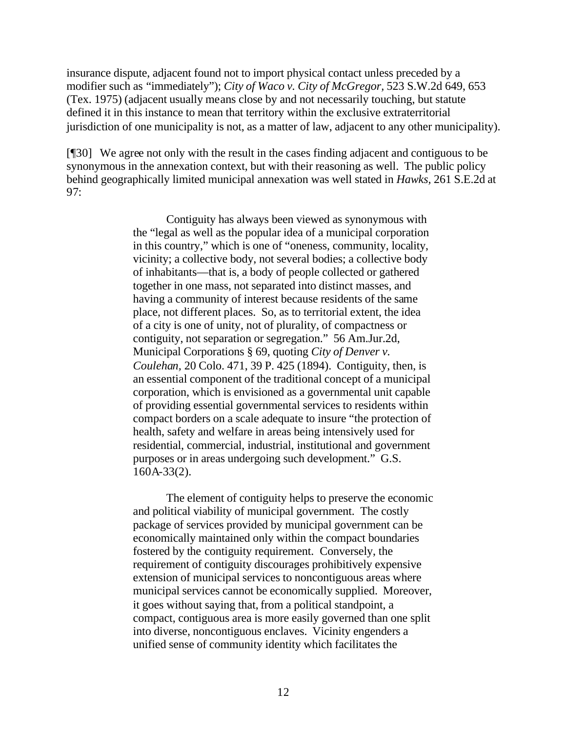insurance dispute, adjacent found not to import physical contact unless preceded by a modifier such as "immediately"); *City of Waco v. City of McGregor,* 523 S.W.2d 649, 653 (Tex. 1975) (adjacent usually means close by and not necessarily touching, but statute defined it in this instance to mean that territory within the exclusive extraterritorial jurisdiction of one municipality is not, as a matter of law, adjacent to any other municipality).

[¶30] We agree not only with the result in the cases finding adjacent and contiguous to be synonymous in the annexation context, but with their reasoning as well. The public policy behind geographically limited municipal annexation was well stated in *Hawks,* 261 S.E.2d at 97:

> Contiguity has always been viewed as synonymous with the "legal as well as the popular idea of a municipal corporation in this country," which is one of "oneness, community, locality, vicinity; a collective body, not several bodies; a collective body of inhabitants—that is, a body of people collected or gathered together in one mass, not separated into distinct masses, and having a community of interest because residents of the same place, not different places. So, as to territorial extent, the idea of a city is one of unity, not of plurality, of compactness or contiguity, not separation or segregation." 56 Am.Jur.2d, Municipal Corporations § 69, quoting *City of Denver v. Coulehan,* 20 Colo. 471, 39 P. 425 (1894). Contiguity, then, is an essential component of the traditional concept of a municipal corporation, which is envisioned as a governmental unit capable of providing essential governmental services to residents within compact borders on a scale adequate to insure "the protection of health, safety and welfare in areas being intensively used for residential, commercial, industrial, institutional and government purposes or in areas undergoing such development." G.S. 160A-33(2).

> The element of contiguity helps to preserve the economic and political viability of municipal government. The costly package of services provided by municipal government can be economically maintained only within the compact boundaries fostered by the contiguity requirement. Conversely, the requirement of contiguity discourages prohibitively expensive extension of municipal services to noncontiguous areas where municipal services cannot be economically supplied. Moreover, it goes without saying that, from a political standpoint, a compact, contiguous area is more easily governed than one split into diverse, noncontiguous enclaves. Vicinity engenders a unified sense of community identity which facilitates the